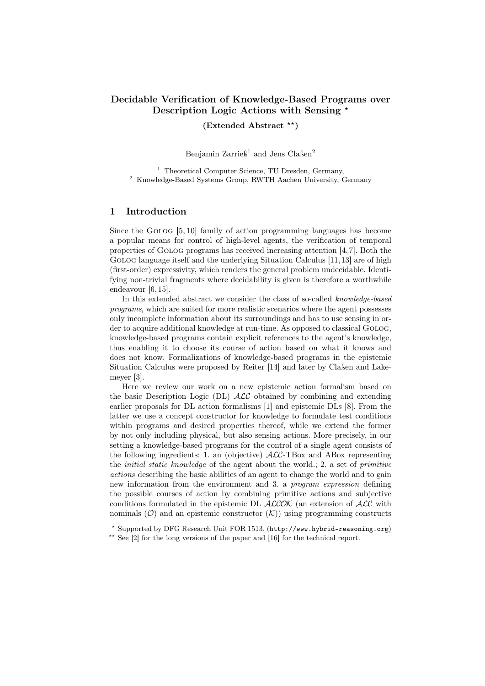# Decidable Verification of Knowledge-Based Programs over Description Logic Actions with Sensing  $\star$

 $(Extended Abstract**)$ 

Benjamin Zarrieß<sup>1</sup> and Jens Claßen<sup>2</sup>

<sup>1</sup> Theoretical Computer Science, TU Dresden, Germany, <sup>2</sup> Knowledge-Based Systems Group, RWTH Aachen University, Germany

## 1 Introduction

Since the Golog [5, 10] family of action programming languages has become a popular means for control of high-level agents, the verification of temporal properties of Golog programs has received increasing attention [4,7]. Both the GOLOG language itself and the underlying Situation Calculus [11, 13] are of high (first-order) expressivity, which renders the general problem undecidable. Identifying non-trivial fragments where decidability is given is therefore a worthwhile endeavour [6, 15].

In this extended abstract we consider the class of so-called knowledge-based programs, which are suited for more realistic scenarios where the agent possesses only incomplete information about its surroundings and has to use sensing in order to acquire additional knowledge at run-time. As opposed to classical Golog, knowledge-based programs contain explicit references to the agent's knowledge, thus enabling it to choose its course of action based on what it knows and does not know. Formalizations of knowledge-based programs in the epistemic Situation Calculus were proposed by Reiter [14] and later by Claßen and Lakemeyer [3].

Here we review our work on a new epistemic action formalism based on the basic Description Logic (DL)  $\mathcal{ALC}$  obtained by combining and extending earlier proposals for DL action formalisms [1] and epistemic DLs [8]. From the latter we use a concept constructor for knowledge to formulate test conditions within programs and desired properties thereof, while we extend the former by not only including physical, but also sensing actions. More precisely, in our setting a knowledge-based programs for the control of a single agent consists of the following ingredients: 1. an (objective)  $\text{ALC-TBox}$  and ABox representing the initial static knowledge of the agent about the world.; 2. a set of primitive actions describing the basic abilities of an agent to change the world and to gain new information from the environment and 3. a program expression defining the possible courses of action by combining primitive actions and subjective conditions formulated in the epistemic DL  $ALCON$  (an extension of  $ALC$  with nominals  $(\mathcal{O})$  and an epistemic constructor  $(\mathcal{K})$  using programming constructs

<sup>?</sup> Supported by DFG Research Unit FOR 1513, (http://www.hybrid-reasoning.org)

<sup>\*\*</sup> See  $[2]$  for the long versions of the paper and  $[16]$  for the technical report.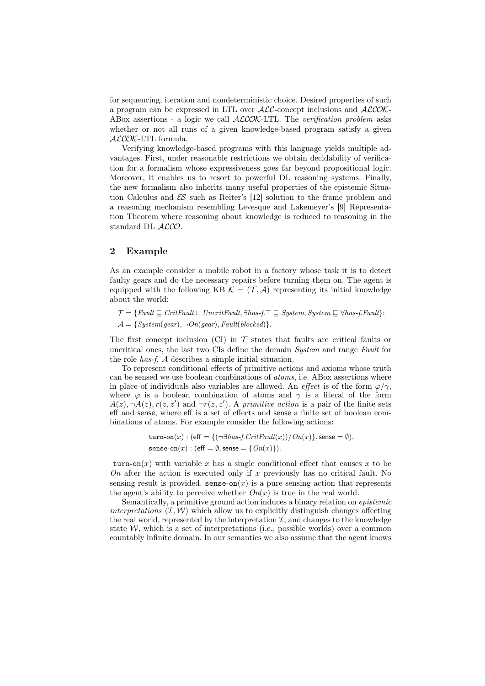for sequencing, iteration and nondeterministic choice. Desired properties of such a program can be expressed in LTL over ALC-concept inclusions and ALCOK-ABox assertions - a logic we call  $ACCOK$ -LTL. The verification problem asks whether or not all runs of a given knowledge-based program satisfy a given ALCOK-LTL formula.

Verifying knowledge-based programs with this language yields multiple advantages. First, under reasonable restrictions we obtain decidability of verification for a formalism whose expressiveness goes far beyond propositional logic. Moreover, it enables us to resort to powerful DL reasoning systems. Finally, the new formalism also inherits many useful properties of the epistemic Situation Calculus and  $\mathcal{E}$  such as Reiter's [12] solution to the frame problem and a reasoning mechanism resembling Levesque and Lakemeyer's [9] Representation Theorem where reasoning about knowledge is reduced to reasoning in the standard DL ALCO.

#### 2 Example

As an example consider a mobile robot in a factory whose task it is to detect faulty gears and do the necessary repairs before turning them on. The agent is equipped with the following KB  $\mathcal{K} = (\mathcal{T}, \mathcal{A})$  representing its initial knowledge about the world:

 $\mathcal{T} = \{ \text{Fault} \sqsubseteq \text{CritFault} \sqcup \text{UncritFault}, \exists \text{has-f.} \top \sqsubseteq \text{System}, \text{System} \sqsubseteq \forall \text{has-f.} \text{Pault} \};$ 

 $\mathcal{A} = \{ System(gear), \neg On(gear), Fault(blocked) \}.$ 

The first concept inclusion (CI) in  $\mathcal T$  states that faults are critical faults or uncritical ones, the last two CIs define the domain System and range Fault for the role has-f. A describes a simple initial situation.

To represent conditional effects of primitive actions and axioms whose truth can be sensed we use boolean combinations of atoms, i.e. ABox assertions where in place of individuals also variables are allowed. An effect is of the form  $\varphi/\gamma$ , where  $\varphi$  is a boolean combination of atoms and  $\gamma$  is a literal of the form  $A(z), \neg A(z), r(z, z')$  and  $\neg r(z, z')$ . A primitive action is a pair of the finite sets eff and sense, where eff is a set of effects and sense a finite set of boolean combinations of atoms. For example consider the following actions:

> turn-on(x) : (eff = { $(\neg \exists has\text{-}f.CritFault(x))/On(x)$ }, sense =  $\emptyset$ ), sense-on $(x)$ : (eff =  $\emptyset$ , sense =  $\{On(x)\}\$ .

turn-on(x) with variable x has a single conditional effect that causes x to be On after the action is executed only if x previously has no critical fault. No sensing result is provided. sense-on(x) is a pure sensing action that represents the agent's ability to perceive whether  $On(x)$  is true in the real world.

Semantically, a primitive ground action induces a binary relation on epistemic interpretations  $(\mathcal{I}, \mathcal{W})$  which allow us to explicitly distinguish changes affecting the real world, represented by the interpretation  $I$ , and changes to the knowledge state  $W$ , which is a set of interpretations (i.e., possible worlds) over a common countably infinite domain. In our semantics we also assume that the agent knows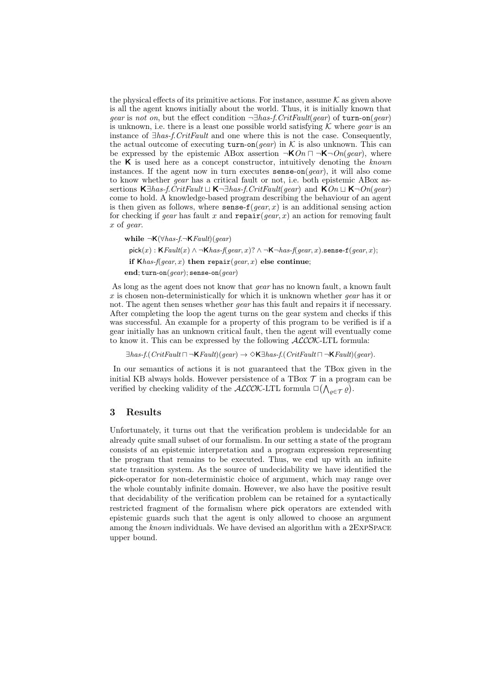the physical effects of its primitive actions. For instance, assume  $K$  as given above is all the agent knows initially about the world. Thus, it is initially known that gear is not on, but the effect condition  $\neg \exists has-f.CritFault(qear)$  of turn-on(gear) is unknown, i.e. there is a least one possible world satisfying  $K$  where *gear* is an instance of ∃has-f.CritFault and one where this is not the case. Consequently, the actual outcome of executing turn-on(*gear*) in  $K$  is also unknown. This can be expressed by the epistemic ABox assertion  $\neg K \cdot On \sqcap \neg K \neg On(qear)$ , where the  $\bf{K}$  is used here as a concept constructor, intuitively denoting the known instances. If the agent now in turn executes sense-on $(gear)$ , it will also come to know whether gear has a critical fault or not, i.e. both epistemic ABox assertions  $\mathsf{K} \exists \textit{has-f}. \textit{CritFault} \sqcup \mathsf{K} \neg \exists \textit{has-f}. \textit{CritFault} (\textit{gear})$  and  $\mathsf{KOn} \sqcup \mathsf{K} \neg \textit{On} (\textit{gear})$ come to hold. A knowledge-based program describing the behaviour of an agent is then given as follows, where sense- $f(gear, x)$  is an additional sensing action for checking if gear has fault x and  $\text{repair}(gen, x)$  an action for removing fault x of gear.

while  $\neg K(\forall has-f.\neg KFault)(qear)$ pick(x): KFault(x)  $\wedge \neg$ Khas-f(gear, x)?  $\wedge \neg$ K $\neg$ has-f(gear, x).sense-f(gear, x); if  $K$ has-f(gear, x) then repair(gear, x) else continue; end; turn-on( $gear$ ); sense-on( $gear$ )

As long as the agent does not know that *gear* has no known fault, a known fault x is chosen non-deterministically for which it is unknown whether *gear* has it or not. The agent then senses whether *gear* has this fault and repairs it if necessary. After completing the loop the agent turns on the gear system and checks if this was successful. An example for a property of this program to be verified is if a gear initially has an unknown critical fault, then the agent will eventually come to know it. This can be expressed by the following  $\text{ALCOK-LTL}$  formula:

 $\exists has\text{-}f.CritFault \sqcap \neg \mathsf{KFault}(gear) \rightarrow \Diamond \mathsf{K}\exists has\text{-}f.CritFault \sqcap \neg \mathsf{KFault}(gear).$ 

In our semantics of actions it is not guaranteed that the TBox given in the initial KB always holds. However persistence of a TBox  $\mathcal T$  in a program can be verified by checking validity of the  $\mathcal{ALCOK}\text{-LTL}$  formula  $\square(\bigwedge_{\varrho \in \mathcal{T}} \varrho)$ .

## 3 Results

Unfortunately, it turns out that the verification problem is undecidable for an already quite small subset of our formalism. In our setting a state of the program consists of an epistemic interpretation and a program expression representing the program that remains to be executed. Thus, we end up with an infinite state transition system. As the source of undecidability we have identified the pick-operator for non-deterministic choice of argument, which may range over the whole countably infinite domain. However, we also have the positive result that decidability of the verification problem can be retained for a syntactically restricted fragment of the formalism where pick operators are extended with epistemic guards such that the agent is only allowed to choose an argument among the known individuals. We have devised an algorithm with a 2EXPSPACE upper bound.